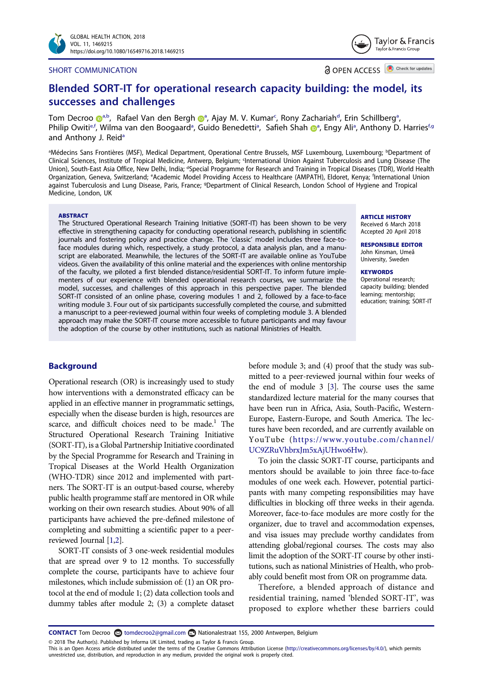#### SHORT COMMUNICATION

OPEN ACCESS **OD** Check for updates

Taylor & Francis Taylor & Francis Group

# Blended SORT-IT for operational research capacity building: the model, its successes and challenges

T[o](http://orcid.org/0000-0002-1205-1484)m Decroo D<sup>[a](#page-0-0),b</sup>, Rafael Van den Bergh D<sup>a</sup>, Ajay M. V. Kumar<sup>[c](#page-0-1)</sup>, Rony Zachariah<sup>d</sup>, Erin Schillberg<sup>a</sup>, Philip Owiti<sup>e,f</sup>, Wilm[a](#page-0-0) van den Boogaard<sup>a</sup>, Guido Benedetti<sup>a</sup>, Safieh Shah D<sup>a</sup>, Engy Ali<sup>a</sup>, Anthony D. Harries<sup>f[,g](#page-0-4)</sup> [a](#page-0-0)nd Anthony J. Reid<sup>a</sup>

<span id="page-0-4"></span><span id="page-0-3"></span><span id="page-0-2"></span><span id="page-0-1"></span><span id="page-0-0"></span><sup>a</sup>Médecins Sans Frontières (MSF), Medical Department, Operational Centre Brussels, MSF Luxembourg, Luxembourg; <sup>b</sup>Department of Clinical Sciences, Institute of Tropical Medicine, Antwerp, Belgium; <sup>c</sup>International Union Against Tuberculosis and Lung Disease (The Union), South-East Asia Office, New Delhi, India; <sup>a</sup>Special Programme for Research and Training in Tropical Diseases (TDR), World Health Organization, Geneva, Switzerland; <sup>e</sup>Academic Model Providing Access to Healthcare (AMPATH), Eldoret, Kenya; <sup>f</sup>International Union against Tuberculosis and Lung Disease, Paris, France; <sup>g</sup>Department of Clinical Research, London School of Hygiene and Tropical Medicine, London, UK

#### **ABSTRACT**

The Structured Operational Research Training Initiative (SORT-IT) has been shown to be very effective in strengthening capacity for conducting operational research, publishing in scientific journals and fostering policy and practice change. The 'classic' model includes three face-toface modules during which, respectively, a study protocol, a data analysis plan, and a manuscript are elaborated. Meanwhile, the lectures of the SORT-IT are available online as YouTube videos. Given the availability of this online material and the experiences with online mentorship of the faculty, we piloted a first blended distance/residential SORT-IT. To inform future implementers of our experience with blended operational research courses, we summarize the model, successes, and challenges of this approach in this perspective paper. The blended SORT-IT consisted of an online phase, covering modules 1 and 2, followed by a face-to-face writing module 3. Four out of six participants successfully completed the course, and submitted a manuscript to a peer-reviewed journal within four weeks of completing module 3. A blended approach may make the SORT-IT course more accessible to future participants and may favour the adoption of the course by other institutions, such as national Ministries of Health.

#### ARTICLE HISTORY

Received 6 March 2018 Accepted 20 April 2018

RESPONSIBLE EDITOR John Kinsman, Umeå University, Sweden

#### **KEYWORDS**

Operational research; capacity building; blended learning; mentorship; education; training; SORT-IT

# Background

Operational research (OR) is increasingly used to study how interventions with a demonstrated efficacy can be applied in an effective manner in programmatic settings, especially when the disease burden is high, resources are scarce, and difficult choices need to be made.<sup>1</sup> The Structured Operational Research Training Initiative (SORT-IT), is a Global Partnership Initiative coordinated by the Special Programme for Research and Training in Tropical Diseases at the World Health Organization (WHO-TDR) since 2012 and implemented with partners. The SORT-IT is an output-based course, whereby public health programme staff are mentored in OR while working on their own research studies. About 90% of all participants have achieved the pre-defined milestone of completing and submitting a scientific paper to a peerreviewed Journal [\[1,](#page-5-0)[2\]](#page-5-1).

<span id="page-0-5"></span>SORT-IT consists of 3 one-week residential modules that are spread over 9 to 12 months. To successfully complete the course, participants have to achieve four milestones, which include submission of: (1) an OR protocol at the end of module 1; (2) data collection tools and dummy tables after module 2; (3) a complete dataset

<span id="page-0-6"></span>before module 3; and (4) proof that the study was submitted to a peer-reviewed journal within four weeks of the end of module 3 [\[3\]](#page-5-2). The course uses the same standardized lecture material for the many courses that have been run in Africa, Asia, South-Pacific, Western-Europe, Eastern-Europe, and South America. The lectures have been recorded, and are currently available on YouTube ([https://www.youtube.com/channel/](https://www.youtube.com/channel/UC9ZRuVhbrxJm5xAjUHwo6Hw) [UC9ZRuVhbrxJm5xAjUHwo6Hw\)](https://www.youtube.com/channel/UC9ZRuVhbrxJm5xAjUHwo6Hw).

To join the classic SORT-IT course, participants and mentors should be available to join three face-to-face modules of one week each. However, potential participants with many competing responsibilities may have difficulties in blocking off three weeks in their agenda. Moreover, face-to-face modules are more costly for the organizer, due to travel and accommodation expenses, and visa issues may preclude worthy candidates from attending global/regional courses. The costs may also limit the adoption of the SORT-IT course by other institutions, such as national Ministries of Health, who probably could benefit most from OR on programme data.

Therefore, a blended approach of distance and residential training, named 'blended SORT-IT', was proposed to explore whether these barriers could

CONTACT Tom Decroo <a>
tomdecroo2@gmail.com <a>
Nationalestraat 155, 2000 Antwerpen, Belgium

© 2018 The Author(s). Published by Informa UK Limited, trading as Taylor & Francis Group.

This is an Open Access article distributed under the terms of the Creative Commons Attribution License (http://creativecommons.org/licenses/by/4.0/), which permits unrestricted use, distribution, and reproduction in any medium, provided the original work is properly cited.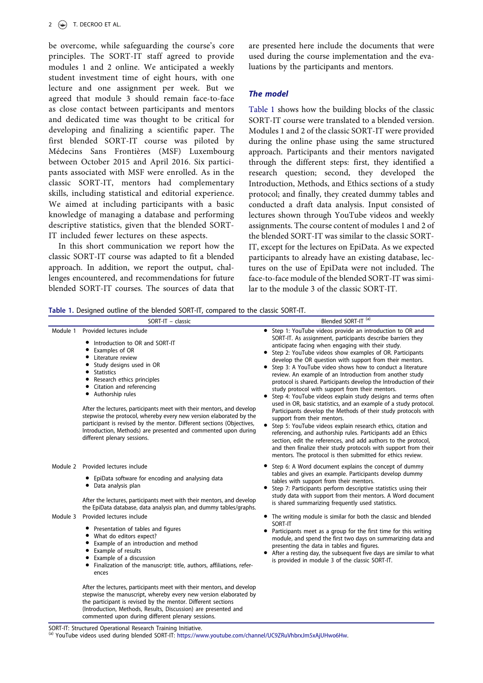be overcome, while safeguarding the course's core principles. The SORT-IT staff agreed to provide modules 1 and 2 online. We anticipated a weekly student investment time of eight hours, with one lecture and one assignment per week. But we agreed that module 3 should remain face-to-face as close contact between participants and mentors and dedicated time was thought to be critical for developing and finalizing a scientific paper. The first blended SORT-IT course was piloted by Médecins Sans Frontières (MSF) Luxembourg between October 2015 and April 2016. Six participants associated with MSF were enrolled. As in the classic SORT-IT, mentors had complementary skills, including statistical and editorial experience. We aimed at including participants with a basic knowledge of managing a database and performing descriptive statistics, given that the blended SORT-IT included fewer lectures on these aspects.

In this short communication we report how the classic SORT-IT course was adapted to fit a blended approach. In addition, we report the output, challenges encountered, and recommendations for future blended SORT-IT courses. The sources of data that are presented here include the documents that were used during the course implementation and the evaluations by the participants and mentors.

# The model

[Table 1](#page-1-0) shows how the building blocks of the classic SORT-IT course were translated to a blended version. Modules 1 and 2 of the classic SORT-IT were provided during the online phase using the same structured approach. Participants and their mentors navigated through the different steps: first, they identified a research question; second, they developed the Introduction, Methods, and Ethics sections of a study protocol; and finally, they created dummy tables and conducted a draft data analysis. Input consisted of lectures shown through YouTube videos and weekly assignments. The course content of modules 1 and 2 of the blended SORT-IT was similar to the classic SORT-IT, except for the lectures on EpiData. As we expected participants to already have an existing database, lectures on the use of EpiData were not included. The face-to-face module of the blended SORT-IT was similar to the module 3 of the classic SORT-IT.

<span id="page-1-0"></span>

|          | SORT-IT - classic                                                                                                                                                                                                                                                                                                                                                                                                                                                                                                                                                 | Blended SORT-IT <sup>(a)</sup>                                                                                                                                                                                                                                                                                                                                                                                                                                                                                                                                                                                                                                                                                                                                                                                                                                                                                                                                                                                                                                                                                                   |
|----------|-------------------------------------------------------------------------------------------------------------------------------------------------------------------------------------------------------------------------------------------------------------------------------------------------------------------------------------------------------------------------------------------------------------------------------------------------------------------------------------------------------------------------------------------------------------------|----------------------------------------------------------------------------------------------------------------------------------------------------------------------------------------------------------------------------------------------------------------------------------------------------------------------------------------------------------------------------------------------------------------------------------------------------------------------------------------------------------------------------------------------------------------------------------------------------------------------------------------------------------------------------------------------------------------------------------------------------------------------------------------------------------------------------------------------------------------------------------------------------------------------------------------------------------------------------------------------------------------------------------------------------------------------------------------------------------------------------------|
| Module 1 | Provided lectures include<br>• Introduction to OR and SORT-IT<br>Examples of OR<br>• Literature review<br>• Study designs used in OR<br>• Statistics<br>• Research ethics principles<br>• Citation and referencing<br>• Authorship rules<br>After the lectures, participants meet with their mentors, and develop<br>stepwise the protocol, whereby every new version elaborated by the<br>participant is revised by the mentor. Different sections (Objectives,<br>Introduction, Methods) are presented and commented upon during<br>different plenary sessions. | Step 1: YouTube videos provide an introduction to OR and<br>SORT-IT. As assignment, participants describe barriers they<br>anticipate facing when engaging with their study.<br>Step 2: YouTube videos show examples of OR. Participants<br>develop the OR question with support from their mentors.<br>Step 3: A YouTube video shows how to conduct a literature<br>review. An example of an Introduction from another study<br>protocol is shared. Participants develop the Introduction of their<br>study protocol with support from their mentors.<br>Step 4: YouTube videos explain study designs and terms often<br>used in OR, basic statistics, and an example of a study protocol.<br>Participants develop the Methods of their study protocols with<br>support from their mentors.<br>Step 5: YouTube videos explain research ethics, citation and<br>referencing, and authorship rules. Participants add an Ethics<br>section, edit the references, and add authors to the protocol,<br>and then finalize their study protocols with support from their<br>mentors. The protocol is then submitted for ethics review. |
| Module 2 | Provided lectures include<br>• EpiData software for encoding and analysing data<br>• Data analysis plan<br>After the lectures, participants meet with their mentors, and develop<br>the EpiData database, data analysis plan, and dummy tables/graphs.                                                                                                                                                                                                                                                                                                            | Step 6: A Word document explains the concept of dummy<br>tables and gives an example. Participants develop dummy<br>tables with support from their mentors.<br>Step 7: Participants perform descriptive statistics using their<br>study data with support from their mentors. A Word document<br>is shared summarizing frequently used statistics.                                                                                                                                                                                                                                                                                                                                                                                                                                                                                                                                                                                                                                                                                                                                                                               |
| Module 3 | Provided lectures include<br>• Presentation of tables and figures<br>• What do editors expect?<br>Example of an introduction and method<br>Example of results<br>Example of a discussion<br>• Finalization of the manuscript: title, authors, affiliations, refer-<br>ences<br>After the lectures, participants meet with their mentors, and develop                                                                                                                                                                                                              | The writing module is similar for both the classic and blended<br>SORT-IT<br>Participants meet as a group for the first time for this writing<br>module, and spend the first two days on summarizing data and<br>presenting the data in tables and figures.<br>After a resting day, the subsequent five days are similar to what<br>is provided in module 3 of the classic SORT-IT.                                                                                                                                                                                                                                                                                                                                                                                                                                                                                                                                                                                                                                                                                                                                              |

SORT-IT: Structured Operational Research Training Initiative.<br><sup>(a)</sup> YouTube videos used during blended SORT-IT: <https://www.youtube.com/channel/UC9ZRuVhbrxJm5xAjUHwo6Hw>.

stepwise the manuscript, whereby every new version elaborated by the participant is revised by the mentor. Different sections (Introduction, Methods, Results, Discussion) are presented and commented upon during different plenary sessions.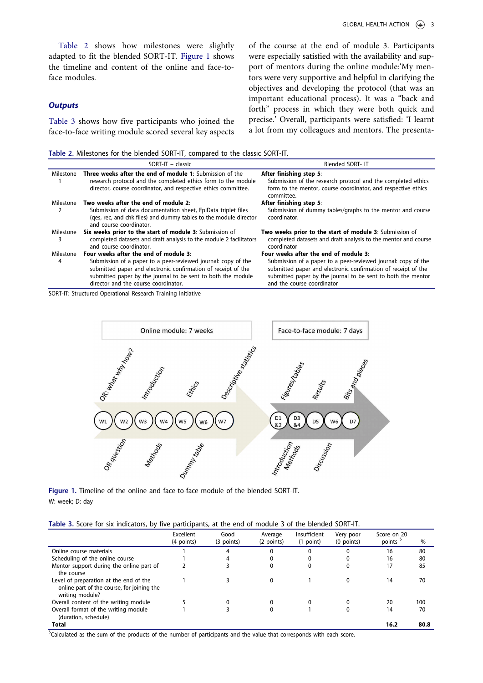[Table 2](#page-2-0) shows how milestones were slightly adapted to fit the blended SORT-IT. [Figure 1](#page-2-1) shows the timeline and content of the online and face-toface modules.

# **Outputs**

[Table 3](#page-2-2) shows how five participants who joined the face-to-face writing module scored several key aspects of the course at the end of module 3. Participants were especially satisfied with the availability and support of mentors during the online module:'My mentors were very supportive and helpful in clarifying the objectives and developing the protocol (that was an important educational process). It was a "back and forth" process in which they were both quick and precise.' Overall, participants were satisfied: 'I learnt a lot from my colleagues and mentors. The presenta-

<span id="page-2-0"></span>Table 2. Milestones for the blended SORT-IT, compared to the classic SORT-IT.

|                | $SORT-T - classic$                                                                                                                                                                                                                     | Blended SORT- IT                                                                                                                                                                                                             |
|----------------|----------------------------------------------------------------------------------------------------------------------------------------------------------------------------------------------------------------------------------------|------------------------------------------------------------------------------------------------------------------------------------------------------------------------------------------------------------------------------|
| Milestone      | <b>Three weeks after the end of module 1:</b> Submission of the<br>research protocol and the completed ethics form to the module<br>director, course coordinator, and respective ethics committee.                                     | After finishing step 5:<br>Submission of the research protocol and the completed ethics<br>form to the mentor, course coordinator, and respective ethics<br>committee.                                                       |
| Milestone      | Two weeks after the end of module 2:                                                                                                                                                                                                   | After finishing step 5:                                                                                                                                                                                                      |
|                | Submission of data documentation sheet, EpiData triplet files<br>(ges, rec, and chk files) and dummy tables to the module director<br>and course coordinator.                                                                          | Submission of dummy tables/graphs to the mentor and course<br>coordinator.                                                                                                                                                   |
| Milestone<br>3 | Six weeks prior to the start of module 3: Submission of<br>completed datasets and draft analysis to the module 2 facilitators<br>and course coordinator.                                                                               | Two weeks prior to the start of module 3: Submission of<br>completed datasets and draft analysis to the mentor and course<br>coordinator                                                                                     |
| Milestone      | Four weeks after the end of module 3:                                                                                                                                                                                                  | Four weeks after the end of module 3:                                                                                                                                                                                        |
| 4              | Submission of a paper to a peer-reviewed journal: copy of the<br>submitted paper and electronic confirmation of receipt of the<br>submitted paper by the journal to be sent to both the module<br>director and the course coordinator. | Submission of a paper to a peer-reviewed journal: copy of the<br>submitted paper and electronic confirmation of receipt of the<br>submitted paper by the journal to be sent to both the mentor<br>and the course coordinator |

SORT-IT: Structured Operational Research Training Initiative



<span id="page-2-1"></span>Figure 1. Timeline of the online and face-to-face module of the blended SORT-IT. W: week; D: day

<span id="page-2-2"></span>

|  |                                                                                                         | Expedient Cool |  | Arraya an Indufficiant Vancinaa |  |
|--|---------------------------------------------------------------------------------------------------------|----------------|--|---------------------------------|--|
|  | Table 3. Score for six indicators, by five participants, at the end of module 3 of the blended SORT-IT. |                |  |                                 |  |

|                                                                                                         | Excellent<br>(4 points) | Good<br>(3 points) | Average<br>(2 points) | Insufficient<br>(1 point) | Very poor<br>$(0$ points) | Score on 20<br>points <sup>5</sup> | $\%$ |
|---------------------------------------------------------------------------------------------------------|-------------------------|--------------------|-----------------------|---------------------------|---------------------------|------------------------------------|------|
| Online course materials                                                                                 |                         | 4                  |                       | 0                         |                           | 16                                 | 80   |
| Scheduling of the online course                                                                         |                         | 4                  | 0                     | 0                         |                           | 16                                 | 80   |
| Mentor support during the online part of<br>the course                                                  |                         |                    | 0                     | 0                         |                           | 17                                 | 85   |
| Level of preparation at the end of the<br>online part of the course, for joining the<br>writing module? |                         |                    | $\Omega$              |                           | 0                         | 14                                 | 70   |
| Overall content of the writing module                                                                   |                         | $\Omega$           | 0                     | 0                         |                           | 20                                 | 100  |
| Overall format of the writing module<br>(duration, schedule)                                            |                         |                    |                       |                           |                           | 14                                 | 70   |
| <b>Total</b>                                                                                            |                         |                    |                       |                           |                           | 16.2                               | 80.8 |

<sup>\$</sup>Calculated as the sum of the products of the number of participants and the value that corresponds with each score.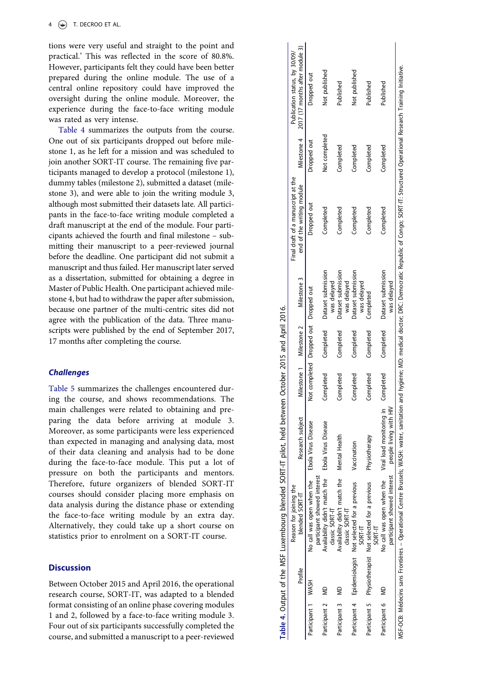tions were very useful and straight to the point and practical. ' This was reflected in the score of 80.8%. However, participants felt they could have been better prepared during the online module. The use of a central online repository could have improved the oversight during the online module. Moreover, the experience during the face-to-face writing module was rated as very intense.

[Table 4](#page-3-0) summarizes the outputs from the course. One out of six participants dropped out before milestone 1, as he left for a mission and was scheduled to join another SORT-IT course. The remaining five participants managed to develop a protocol (milestone 1), dummy tables (milestone 2), submitted a dataset (milestone 3), and were able to join the writing module 3, although most submitted their datasets late. All participants in the face-to-face writing module completed a draft manuscript at the end of the module. Four participants achieved the fourth and final milestone – submitting their manuscript to a peer-reviewed journal before the deadline. One participant did not submit a manuscript and thus failed. Her manuscript later served as a dissertation, submitted for obtaining a degree in Master of Public Health. One participant achieved milestone 4, but had to withdraw the paper after submission, because one partner of the multi-centric sites did not agree with the publication of the data. Three manuscripts were published by the end of September 2017, 17 months after completing the course.

# **Challenges**

[Table 5](#page-4-0) summarizes the challenges encountered during the course, and shows recommendations. The main challenges were related to obtaining and preparing the data before arriving at module 3. Moreover, as some participants were less experienced than expected in managing and analysing data, most of their data cleaning and analysis had to be done during the face-to-face module. This put a lot of pressure on both the participants and mentors. Therefore, future organizers of blended SORT-IT courses should consider placing more emphasis on data analysis during the distance phase or extending the face-to-face writing module by an extra day. Alternatively, they could take up a short course on statistics prior to enrolment on a SORT-IT course.

# **Discussion**

Between October 2015 and April 2016, the operational research course, SORT-IT, was adapted to a blended format consisting of an online phase covering modules 1 and 2, followed by a face-to-face writing module 3. Four out of six participants successfully completed the course, and submitted a manuscript to a peer-reviewed

<span id="page-3-0"></span>

|                    |                              | Table 4. Output of the MSF Luxembourg blended SORT-IT pilot, held between October 2015 and April 2016. |                          |                                       |           |                                   |                                                                                                                                                                                                                            |               |                                 |
|--------------------|------------------------------|--------------------------------------------------------------------------------------------------------|--------------------------|---------------------------------------|-----------|-----------------------------------|----------------------------------------------------------------------------------------------------------------------------------------------------------------------------------------------------------------------------|---------------|---------------------------------|
|                    |                              | Reason for joining the                                                                                 |                          |                                       |           |                                   | Final draft of a manuscript at the                                                                                                                                                                                         |               | Publication status, by 30/09/   |
|                    | Profile                      | blended SORT-IT                                                                                        | Research subject         | Milestone 1 Milestone 2               |           | Milestone 3                       | end of the writing module                                                                                                                                                                                                  | Milestone 4   | 2017 (17 months after module 3) |
| Participant 1 WASH |                              | participant showed interest<br>No call was open when the                                               | Ebola Virus Disease      | Not completed Dropped out Dropped out |           |                                   | Dropped out                                                                                                                                                                                                                | Dropped out   | Dropped out                     |
| Participant 2      | $\frac{1}{2}$                | Availability didn't match the Ebola Virus Disease<br>classic SORT-IT                                   |                          | Completed                             | Completed | Dataset submission<br>was delayed | Completed                                                                                                                                                                                                                  | Not completed | Not published                   |
| Participant 3 MD   |                              | Availability didn't match the Mental Health<br>classic SORT-IT                                         |                          | Completed                             | Completed | Dataset submission<br>was delayed | Completed                                                                                                                                                                                                                  | Completed     | Published                       |
|                    | Participant 4 Epidemiologist | Not selected for a previous<br>SORT-IT                                                                 | Vaccination              | Completed                             | Completed | Dataset submission<br>was delayed | Completed                                                                                                                                                                                                                  | Completed     | Not published                   |
|                    |                              | Participant 5 Physiotherapist Not selected for a previous<br>SORT-IT                                   | Physiotherapy            | Completed                             | Completed | Completed                         | Completed                                                                                                                                                                                                                  | Completed     | Published                       |
| Participant 6 MD   |                              | participant showed interest people living with HIV<br>No call was open when the                        | Viral load monitoring in | Completed                             | Completed | Dataset submission<br>was delayed | Completed                                                                                                                                                                                                                  | Completed     | Published                       |
|                    |                              |                                                                                                        |                          |                                       |           |                                   | MSF-OCB: Médecins sans Frontières – Operational Centre Brussels; WASH: water, sanitation and hygiene; MD: medical doctor; DRC: Democratic Republic of Congo; SORT-IT: Structured Operational Research Training Initiative. |               |                                 |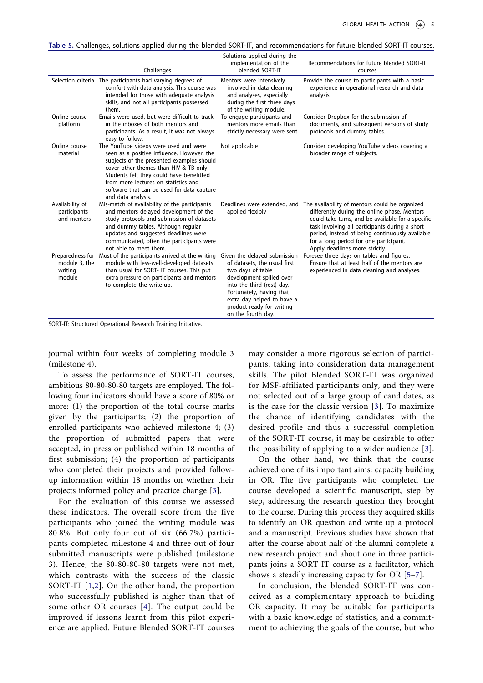<span id="page-4-0"></span>Table 5. Challenges, solutions applied during the blended SORT-IT, and recommendations for future blended SORT-IT courses.

|                                                        | Challenges                                                                                                                                                                                                                                                                                                                         | Solutions applied during the<br>implementation of the<br>blended SORT-IT                                                                                                                                                                                 | Recommendations for future blended SORT-IT<br>courses                                                                                                                                                                                                                                                                                                             |
|--------------------------------------------------------|------------------------------------------------------------------------------------------------------------------------------------------------------------------------------------------------------------------------------------------------------------------------------------------------------------------------------------|----------------------------------------------------------------------------------------------------------------------------------------------------------------------------------------------------------------------------------------------------------|-------------------------------------------------------------------------------------------------------------------------------------------------------------------------------------------------------------------------------------------------------------------------------------------------------------------------------------------------------------------|
|                                                        | Selection criteria The participants had varying degrees of<br>comfort with data analysis. This course was<br>intended for those with adequate analysis<br>skills, and not all participants possessed<br>them.                                                                                                                      | Mentors were intensively<br>involved in data cleaning<br>and analyses, especially<br>during the first three days<br>of the writing module.                                                                                                               | Provide the course to participants with a basic<br>experience in operational research and data<br>analysis.                                                                                                                                                                                                                                                       |
| Online course<br>platform                              | Emails were used, but were difficult to track<br>in the inboxes of both mentors and<br>participants. As a result, it was not always<br>easy to follow.                                                                                                                                                                             | To engage participants and<br>mentors more emails than<br>strictly necessary were sent.                                                                                                                                                                  | Consider Dropbox for the submission of<br>documents, and subsequent versions of study<br>protocols and dummy tables.                                                                                                                                                                                                                                              |
| Online course<br>material                              | The YouTube videos were used and were<br>seen as a positive influence. However, the<br>subjects of the presented examples should<br>cover other themes than HIV & TB only.<br>Students felt they could have benefitted<br>from more lectures on statistics and<br>software that can be used for data capture<br>and data analysis. | Not applicable                                                                                                                                                                                                                                           | Consider developing YouTube videos covering a<br>broader range of subjects.                                                                                                                                                                                                                                                                                       |
| Availability of<br>participants<br>and mentors         | Mis-match of availability of the participants<br>and mentors delayed development of the<br>study protocols and submission of datasets<br>and dummy tables. Although regular<br>updates and suggested deadlines were<br>communicated, often the participants were<br>not able to meet them.                                         | applied flexibly                                                                                                                                                                                                                                         | Deadlines were extended, and The availability of mentors could be organized<br>differently during the online phase. Mentors<br>could take turns, and be available for a specific<br>task involving all participants during a short<br>period, instead of being continuously available<br>for a long period for one participant.<br>Apply deadlines more strictly. |
| Preparedness for<br>module 3, the<br>writing<br>module | Most of the participants arrived at the writing<br>module with less-well-developed datasets<br>than usual for SORT- IT courses. This put<br>extra pressure on participants and mentors<br>to complete the write-up.                                                                                                                | Given the delayed submission<br>of datasets, the usual first<br>two days of table<br>development spilled over<br>into the third (rest) day.<br>Fortunately, having that<br>extra day helped to have a<br>product ready for writing<br>on the fourth day. | Foresee three days on tables and figures.<br>Ensure that at least half of the mentors are<br>experienced in data cleaning and analyses.                                                                                                                                                                                                                           |

SORT-IT: Structured Operational Research Training Initiative.

journal within four weeks of completing module 3 (milestone 4).

To assess the performance of SORT-IT courses, ambitious 80-80-80-80 targets are employed. The following four indicators should have a score of 80% or more: (1) the proportion of the total course marks given by the participants; (2) the proportion of enrolled participants who achieved milestone 4; (3) the proportion of submitted papers that were accepted, in press or published within 18 months of first submission; (4) the proportion of participants who completed their projects and provided followup information within 18 months on whether their projects informed policy and practice change [[3](#page-5-2)].

<span id="page-4-1"></span>For the evaluation of this course we assessed these indicators. The overall score from the five participants who joined the writing module was 80.8%. But only four out of six (66.7%) participants completed milestone 4 and three out of four submitted manuscripts were published (milestone 3). Hence, the 80-80-80-80 targets were not met, which contrasts with the success of the classic SORT-IT [[1,](#page-5-0)[2\]](#page-5-1). On the other hand, the proportion who successfully published is higher than that of some other OR courses [[4](#page-5-3)]. The output could be improved if lessons learnt from this pilot experience are applied. Future Blended SORT-IT courses may consider a more rigorous selection of participants, taking into consideration data management skills. The pilot Blended SORT-IT was organized for MSF-affiliated participants only, and they were not selected out of a large group of candidates, as is the case for the classic version [[3\]](#page-5-2). To maximize the chance of identifying candidates with the desired profile and thus a successful completion of the SORT-IT course, it may be desirable to offer the possibility of applying to a wider audience [[3](#page-5-2)].

On the other hand, we think that the course achieved one of its important aims: capacity building in OR. The five participants who completed the course developed a scientific manuscript, step by step, addressing the research question they brought to the course. During this process they acquired skills to identify an OR question and write up a protocol and a manuscript. Previous studies have shown that after the course about half of the alumni complete a new research project and about one in three participants joins a SORT IT course as a facilitator, which shows a steadily increasing capacity for OR [\[5](#page-5-4)–[7\]](#page-5-5).

<span id="page-4-2"></span>In conclusion, the blended SORT-IT was conceived as a complementary approach to building OR capacity. It may be suitable for participants with a basic knowledge of statistics, and a commitment to achieving the goals of the course, but who